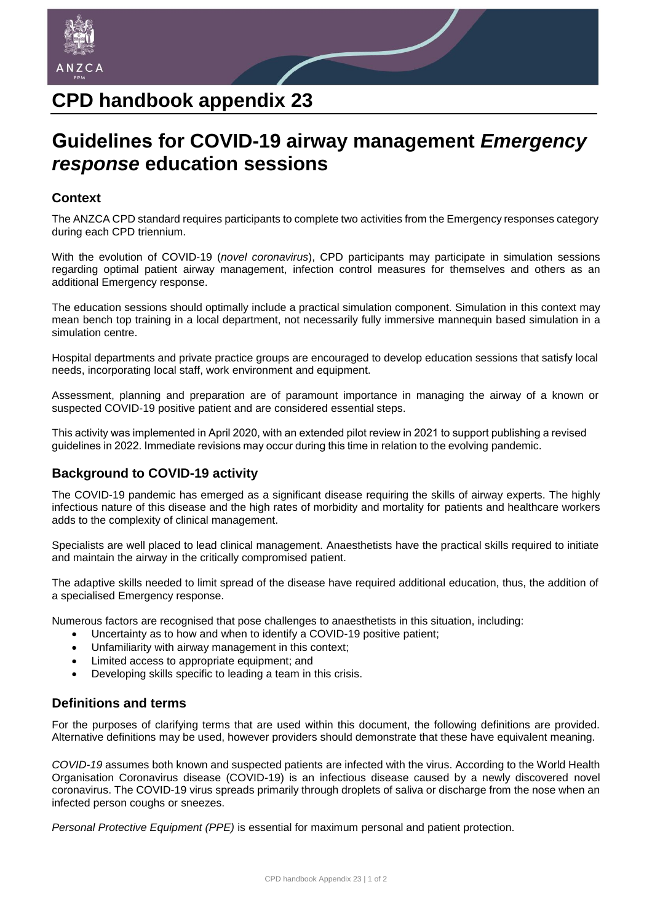

# **Guidelines for COVID-19 airway management** *Emergency response* **education sessions**

#### **Context**

The ANZCA CPD standard requires participants to complete two activities from the Emergency responses category during each CPD triennium.

With the evolution of COVID-19 (*novel coronavirus*), CPD participants may participate in simulation sessions regarding optimal patient airway management, infection control measures for themselves and others as an additional Emergency response.

The education sessions should optimally include a practical simulation component. Simulation in this context may mean bench top training in a local department, not necessarily fully immersive mannequin based simulation in a simulation centre.

Hospital departments and private practice groups are encouraged to develop education sessions that satisfy local needs, incorporating local staff, work environment and equipment.

Assessment, planning and preparation are of paramount importance in managing the airway of a known or suspected COVID-19 positive patient and are considered essential steps.

This activity was implemented in April 2020, with an extended pilot review in 2021 to support publishing a revised guidelines in 2022. Immediate revisions may occur during this time in relation to the evolving pandemic.

## **Background to COVID-19 activity**

The COVID-19 pandemic has emerged as a significant disease requiring the skills of airway experts. The highly infectious nature of this disease and the high rates of morbidity and mortality for patients and healthcare workers adds to the complexity of clinical management.

Specialists are well placed to lead clinical management. Anaesthetists have the practical skills required to initiate and maintain the airway in the critically compromised patient.

The adaptive skills needed to limit spread of the disease have required additional education, thus, the addition of a specialised Emergency response.

Numerous factors are recognised that pose challenges to anaesthetists in this situation, including:

- Uncertainty as to how and when to identify a COVID-19 positive patient;
- Unfamiliarity with airway management in this context;
- Limited access to appropriate equipment; and
- Developing skills specific to leading a team in this crisis.

## **Definitions and terms**

For the purposes of clarifying terms that are used within this document, the following definitions are provided. Alternative definitions may be used, however providers should demonstrate that these have equivalent meaning.

*COVID-19* assumes both known and suspected patients are infected with the virus. According to the World Health Organisation Coronavirus disease (COVID-19) is an infectious disease caused by a newly discovered novel coronavirus. The COVID-19 virus spreads primarily through droplets of saliva or discharge from the nose when an infected person coughs or sneezes.

*Personal Protective Equipment (PPE)* is essential for maximum personal and patient protection.